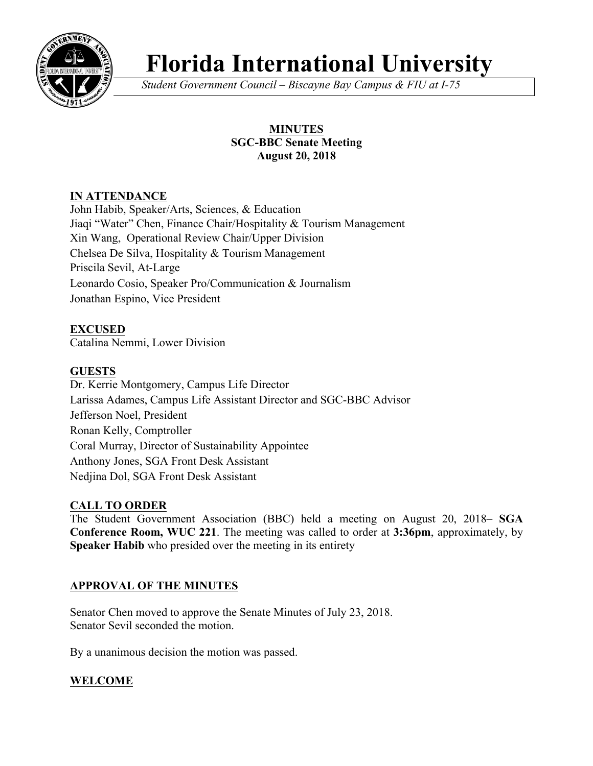

# **Florida International University**

*Student Government Council – Biscayne Bay Campus & FIU at I-75*

## **MINUTES SGC-BBC Senate Meeting August 20, 2018**

# **IN ATTENDANCE**

John Habib, Speaker/Arts, Sciences, & Education Jiaqi "Water" Chen, Finance Chair/Hospitality & Tourism Management Xin Wang, Operational Review Chair/Upper Division Chelsea De Silva, Hospitality & Tourism Management Priscila Sevil, At-Large Leonardo Cosio, Speaker Pro/Communication & Journalism Jonathan Espino, Vice President

## **EXCUSED**

Catalina Nemmi, Lower Division

## **GUESTS**

Dr. Kerrie Montgomery, Campus Life Director Larissa Adames, Campus Life Assistant Director and SGC-BBC Advisor Jefferson Noel, President Ronan Kelly, Comptroller Coral Murray, Director of Sustainability Appointee Anthony Jones, SGA Front Desk Assistant Nedjina Dol, SGA Front Desk Assistant

## **CALL TO ORDER**

The Student Government Association (BBC) held a meeting on August 20, 2018– **SGA Conference Room, WUC 221**. The meeting was called to order at **3:36pm**, approximately, by **Speaker Habib** who presided over the meeting in its entirety

## **APPROVAL OF THE MINUTES**

Senator Chen moved to approve the Senate Minutes of July 23, 2018. Senator Sevil seconded the motion.

By a unanimous decision the motion was passed.

## **WELCOME**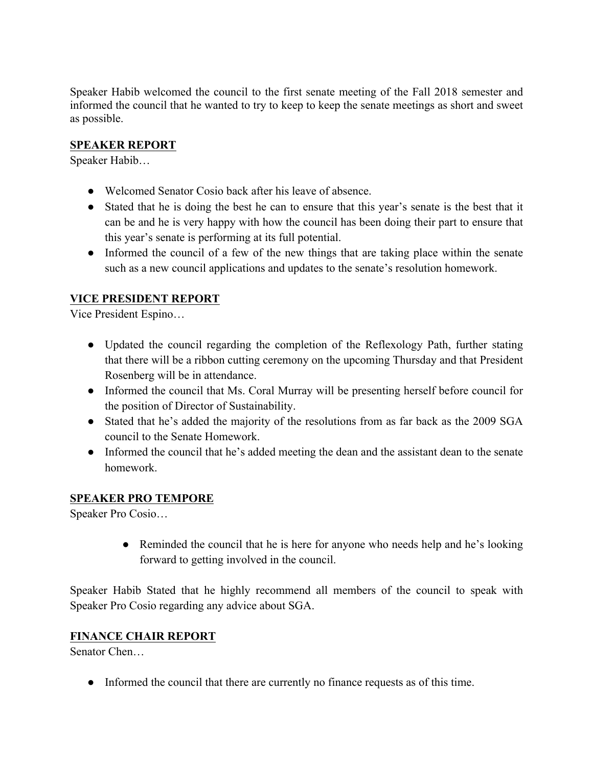Speaker Habib welcomed the council to the first senate meeting of the Fall 2018 semester and informed the council that he wanted to try to keep to keep the senate meetings as short and sweet as possible.

#### **SPEAKER REPORT**

Speaker Habib…

- Welcomed Senator Cosio back after his leave of absence.
- Stated that he is doing the best he can to ensure that this year's senate is the best that it can be and he is very happy with how the council has been doing their part to ensure that this year's senate is performing at its full potential.
- Informed the council of a few of the new things that are taking place within the senate such as a new council applications and updates to the senate's resolution homework.

# **VICE PRESIDENT REPORT**

Vice President Espino…

- Updated the council regarding the completion of the Reflexology Path, further stating that there will be a ribbon cutting ceremony on the upcoming Thursday and that President Rosenberg will be in attendance.
- Informed the council that Ms. Coral Murray will be presenting herself before council for the position of Director of Sustainability.
- Stated that he's added the majority of the resolutions from as far back as the 2009 SGA council to the Senate Homework.
- Informed the council that he's added meeting the dean and the assistant dean to the senate homework.

## **SPEAKER PRO TEMPORE**

Speaker Pro Cosio…

• Reminded the council that he is here for anyone who needs help and he's looking forward to getting involved in the council.

Speaker Habib Stated that he highly recommend all members of the council to speak with Speaker Pro Cosio regarding any advice about SGA.

#### **FINANCE CHAIR REPORT**

Senator Chen…

● Informed the council that there are currently no finance requests as of this time.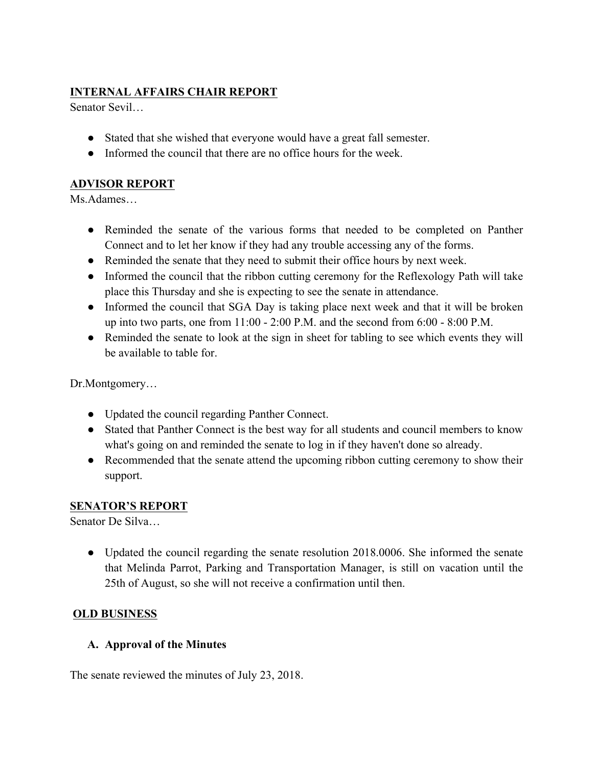# **INTERNAL AFFAIRS CHAIR REPORT**

Senator Sevil…

- Stated that she wished that everyone would have a great fall semester.
- Informed the council that there are no office hours for the week.

# **ADVISOR REPORT**

Ms.Adames…

- Reminded the senate of the various forms that needed to be completed on Panther Connect and to let her know if they had any trouble accessing any of the forms.
- Reminded the senate that they need to submit their office hours by next week.
- Informed the council that the ribbon cutting ceremony for the Reflexology Path will take place this Thursday and she is expecting to see the senate in attendance.
- Informed the council that SGA Day is taking place next week and that it will be broken up into two parts, one from  $11:00 - 2:00$  P.M. and the second from  $6:00 - 8:00$  P.M.
- Reminded the senate to look at the sign in sheet for tabling to see which events they will be available to table for.

Dr.Montgomery…

- Updated the council regarding Panther Connect.
- Stated that Panther Connect is the best way for all students and council members to know what's going on and reminded the senate to log in if they haven't done so already.
- Recommended that the senate attend the upcoming ribbon cutting ceremony to show their support.

## **SENATOR'S REPORT**

Senator De Silva…

• Updated the council regarding the senate resolution 2018.0006. She informed the senate that Melinda Parrot, Parking and Transportation Manager, is still on vacation until the 25th of August, so she will not receive a confirmation until then.

## **OLD BUSINESS**

## **A. Approval of the Minutes**

The senate reviewed the minutes of July 23, 2018.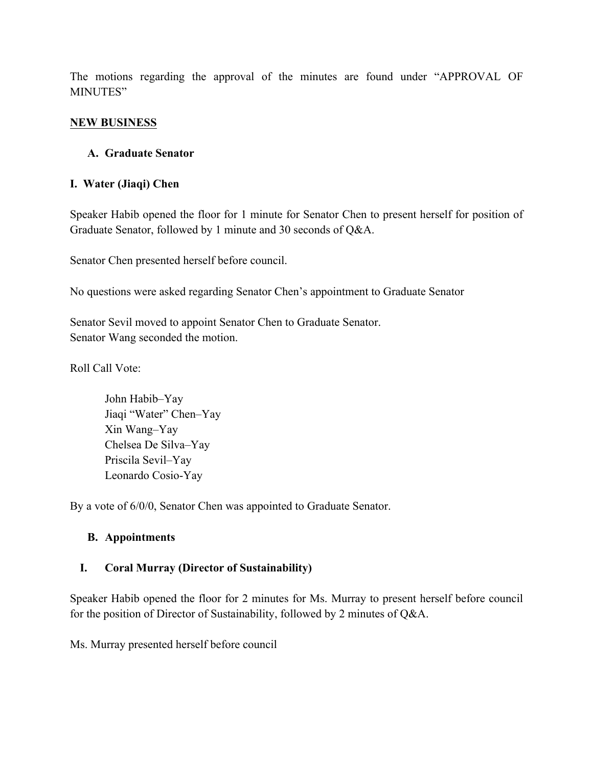The motions regarding the approval of the minutes are found under "APPROVAL OF MINUTES"

#### **NEW BUSINESS**

#### **A. Graduate Senator**

#### **I. Water (Jiaqi) Chen**

Speaker Habib opened the floor for 1 minute for Senator Chen to present herself for position of Graduate Senator, followed by 1 minute and 30 seconds of Q&A.

Senator Chen presented herself before council.

No questions were asked regarding Senator Chen's appointment to Graduate Senator

Senator Sevil moved to appoint Senator Chen to Graduate Senator. Senator Wang seconded the motion.

Roll Call Vote:

John Habib–Yay Jiaqi "Water" Chen–Yay Xin Wang–Yay Chelsea De Silva–Yay Priscila Sevil–Yay Leonardo Cosio-Yay

By a vote of 6/0/0, Senator Chen was appointed to Graduate Senator.

#### **B. Appointments**

#### **I. Coral Murray (Director of Sustainability)**

Speaker Habib opened the floor for 2 minutes for Ms. Murray to present herself before council for the position of Director of Sustainability, followed by 2 minutes of Q&A.

Ms. Murray presented herself before council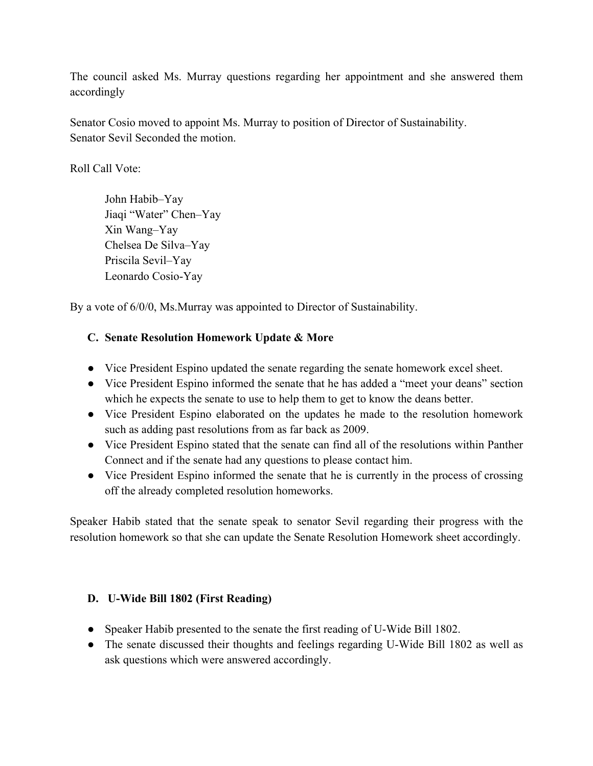The council asked Ms. Murray questions regarding her appointment and she answered them accordingly

Senator Cosio moved to appoint Ms. Murray to position of Director of Sustainability. Senator Sevil Seconded the motion.

Roll Call Vote:

John Habib–Yay Jiaqi "Water" Chen–Yay Xin Wang–Yay Chelsea De Silva–Yay Priscila Sevil–Yay Leonardo Cosio-Yay

By a vote of 6/0/0, Ms.Murray was appointed to Director of Sustainability.

### **C. Senate Resolution Homework Update & More**

- Vice President Espino updated the senate regarding the senate homework excel sheet.
- Vice President Espino informed the senate that he has added a "meet your deans" section which he expects the senate to use to help them to get to know the deans better.
- Vice President Espino elaborated on the updates he made to the resolution homework such as adding past resolutions from as far back as 2009.
- Vice President Espino stated that the senate can find all of the resolutions within Panther Connect and if the senate had any questions to please contact him.
- Vice President Espino informed the senate that he is currently in the process of crossing off the already completed resolution homeworks.

Speaker Habib stated that the senate speak to senator Sevil regarding their progress with the resolution homework so that she can update the Senate Resolution Homework sheet accordingly.

#### **D. U-Wide Bill 1802 (First Reading)**

- Speaker Habib presented to the senate the first reading of U-Wide Bill 1802.
- The senate discussed their thoughts and feelings regarding U-Wide Bill 1802 as well as ask questions which were answered accordingly.